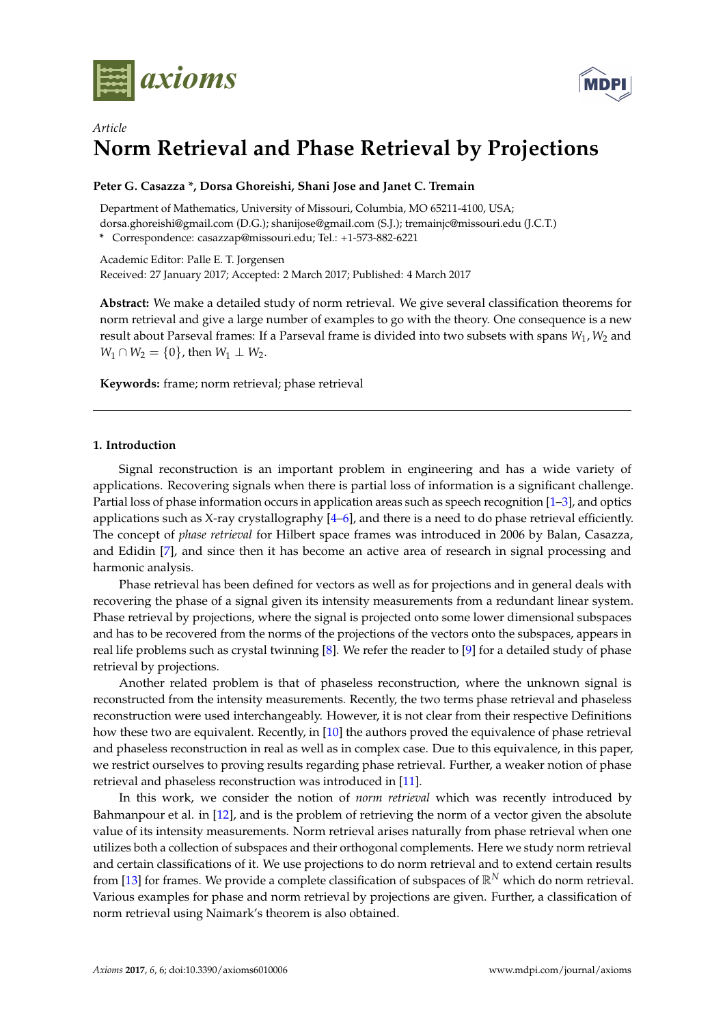



# *Article* **Norm Retrieval and Phase Retrieval by Projections**

# **Peter G. Casazza \*, Dorsa Ghoreishi, Shani Jose and Janet C. Tremain**

Department of Mathematics, University of Missouri, Columbia, MO 65211-4100, USA; dorsa.ghoreishi@gmail.com (D.G.); shanijose@gmail.com (S.J.); tremainjc@missouri.edu (J.C.T.) **\*** Correspondence: casazzap@missouri.edu; Tel.: +1-573-882-6221

Academic Editor: Palle E. T. Jorgensen Received: 27 January 2017; Accepted: 2 March 2017; Published: 4 March 2017

**Abstract:** We make a detailed study of norm retrieval. We give several classification theorems for norm retrieval and give a large number of examples to go with the theory. One consequence is a new result about Parseval frames: If a Parseval frame is divided into two subsets with spans *W*1, *W*<sup>2</sup> and *W*<sub>1</sub> ∩ *W*<sub>2</sub> = {0}, then *W*<sub>1</sub> ⊥ *W*<sub>2</sub>.

**Keywords:** frame; norm retrieval; phase retrieval

# **1. Introduction**

Signal reconstruction is an important problem in engineering and has a wide variety of applications. Recovering signals when there is partial loss of information is a significant challenge. Partial loss of phase information occurs in application areas such as speech recognition [\[1–](#page-13-0)[3\]](#page-13-1), and optics applications such as X-ray crystallography [\[4–](#page-13-2)[6\]](#page-13-3), and there is a need to do phase retrieval efficiently. The concept of *phase retrieval* for Hilbert space frames was introduced in 2006 by Balan, Casazza, and Edidin [\[7\]](#page-14-0), and since then it has become an active area of research in signal processing and harmonic analysis.

Phase retrieval has been defined for vectors as well as for projections and in general deals with recovering the phase of a signal given its intensity measurements from a redundant linear system. Phase retrieval by projections, where the signal is projected onto some lower dimensional subspaces and has to be recovered from the norms of the projections of the vectors onto the subspaces, appears in real life problems such as crystal twinning [\[8\]](#page-14-1). We refer the reader to [\[9\]](#page-14-2) for a detailed study of phase retrieval by projections.

Another related problem is that of phaseless reconstruction, where the unknown signal is reconstructed from the intensity measurements. Recently, the two terms phase retrieval and phaseless reconstruction were used interchangeably. However, it is not clear from their respective Definitions how these two are equivalent. Recently, in [\[10\]](#page-14-3) the authors proved the equivalence of phase retrieval and phaseless reconstruction in real as well as in complex case. Due to this equivalence, in this paper, we restrict ourselves to proving results regarding phase retrieval. Further, a weaker notion of phase retrieval and phaseless reconstruction was introduced in [\[11\]](#page-14-4).

In this work, we consider the notion of *norm retrieval* which was recently introduced by Bahmanpour et al. in [\[12\]](#page-14-5), and is the problem of retrieving the norm of a vector given the absolute value of its intensity measurements. Norm retrieval arises naturally from phase retrieval when one utilizes both a collection of subspaces and their orthogonal complements. Here we study norm retrieval and certain classifications of it. We use projections to do norm retrieval and to extend certain results from [\[13\]](#page-14-6) for frames. We provide a complete classification of subspaces of R*<sup>N</sup>* which do norm retrieval. Various examples for phase and norm retrieval by projections are given. Further, a classification of norm retrieval using Naimark's theorem is also obtained.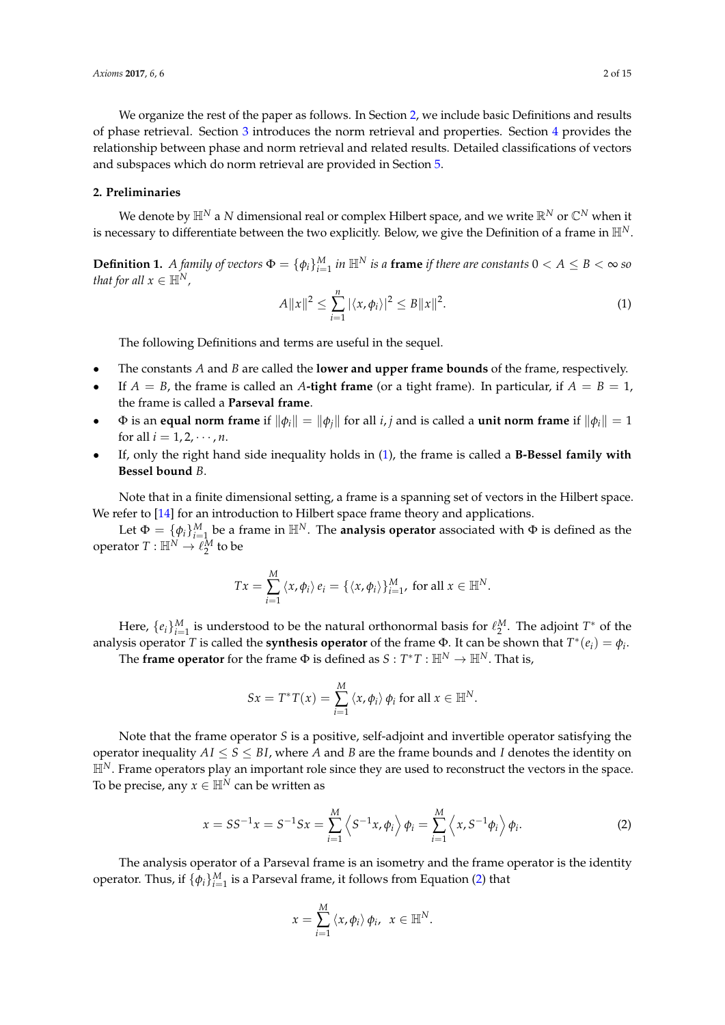We organize the rest of the paper as follows. In Section [2,](#page-1-0) we include basic Definitions and results of phase retrieval. Section [3](#page-2-0) introduces the norm retrieval and properties. Section [4](#page-6-0) provides the relationship between phase and norm retrieval and related results. Detailed classifications of vectors and subspaces which do norm retrieval are provided in Section [5.](#page-9-0)

## <span id="page-1-0"></span>**2. Preliminaries**

We denote by  $\mathbb{H}^N$  a *N* dimensional real or complex Hilbert space, and we write  $\mathbb{R}^N$  or  $\mathbb{C}^N$  when it is necessary to differentiate between the two explicitly. Below, we give the Definition of a frame in  $\mathbb{H}^N$ .

**Definition 1.** A family of vectors  $\Phi = \{\phi_i\}_{i=1}^M$  in  $\mathbb{H}^N$  is a frame if there are constants  $0 < A \leq B < \infty$  so *that for all*  $x \in \mathbb{H}^N$ *,* 

<span id="page-1-1"></span>
$$
A||x||^{2} \leq \sum_{i=1}^{n} |\langle x, \phi_{i} \rangle|^{2} \leq B||x||^{2}.
$$
 (1)

The following Definitions and terms are useful in the sequel.

- The constants *A* and *B* are called the **lower and upper frame bounds** of the frame, respectively.
- If  $A = B$ , the frame is called an A-tight frame (or a tight frame). In particular, if  $A = B = 1$ , the frame is called a **Parseval frame**.
- $\Phi$  is an **equal norm frame** if  $\|\phi_i\| = \|\phi_i\|$  for all *i*, *j* and is called a **unit norm frame** if  $\|\phi_i\| = 1$ for all  $i = 1, 2, \dots, n$ .
- If, only the right hand side inequality holds in [\(1\)](#page-1-1), the frame is called a **B-Bessel family with Bessel bound** *B*.

Note that in a finite dimensional setting, a frame is a spanning set of vectors in the Hilbert space. We refer to [\[14\]](#page-14-7) for an introduction to Hilbert space frame theory and applications.

Let  $\Phi = \{\phi_i\}_{i=1}^M$  be a frame in  $\mathbb{H}^N$ . The **analysis operator** associated with  $\Phi$  is defined as the operator  $T: \mathbb{H}^N \to \ell_2^{\overline{M}}$  to be

$$
Tx = \sum_{i=1}^{M} \langle x, \phi_i \rangle e_i = \{ \langle x, \phi_i \rangle \}_{i=1}^{M}, \text{ for all } x \in \mathbb{H}^N.
$$

Here,  $\{e_i\}_{i=1}^M$  is understood to be the natural orthonormal basis for  $\ell_2^M$ . The adjoint  $T^*$  of the analysis operator *T* is called the **synthesis operator** of the frame  $\Phi$ . It can be shown that  $T^*(e_i) = \phi_i$ .

The **frame operator** for the frame  $\Phi$  is defined as  $S: T^*T: \mathbb{H}^N \to \mathbb{H}^N$ . That is,

$$
Sx = T^*T(x) = \sum_{i=1}^M \langle x, \phi_i \rangle \phi_i \text{ for all } x \in \mathbb{H}^N.
$$

Note that the frame operator *S* is a positive, self-adjoint and invertible operator satisfying the operator inequality  $AI \leq S \leq BI$ , where A and B are the frame bounds and I denotes the identity on  $\mathbb{H}^N$ . Frame operators play an important role since they are used to reconstruct the vectors in the space. To be precise, any  $x \in \mathbb{H}^N$  can be written as

<span id="page-1-2"></span>
$$
x = SS^{-1}x = S^{-1}Sx = \sum_{i=1}^{M} \left\langle S^{-1}x, \phi_i \right\rangle \phi_i = \sum_{i=1}^{M} \left\langle x, S^{-1} \phi_i \right\rangle \phi_i.
$$
 (2)

The analysis operator of a Parseval frame is an isometry and the frame operator is the identity operator. Thus, if  $\{\phi_i\}_{i=1}^M$  is a Parseval frame, it follows from Equation [\(2\)](#page-1-2) that

$$
x=\sum_{i=1}^M\left\langle x,\phi_i\right\rangle\phi_i,\ \ x\in\mathbb{H}^N.
$$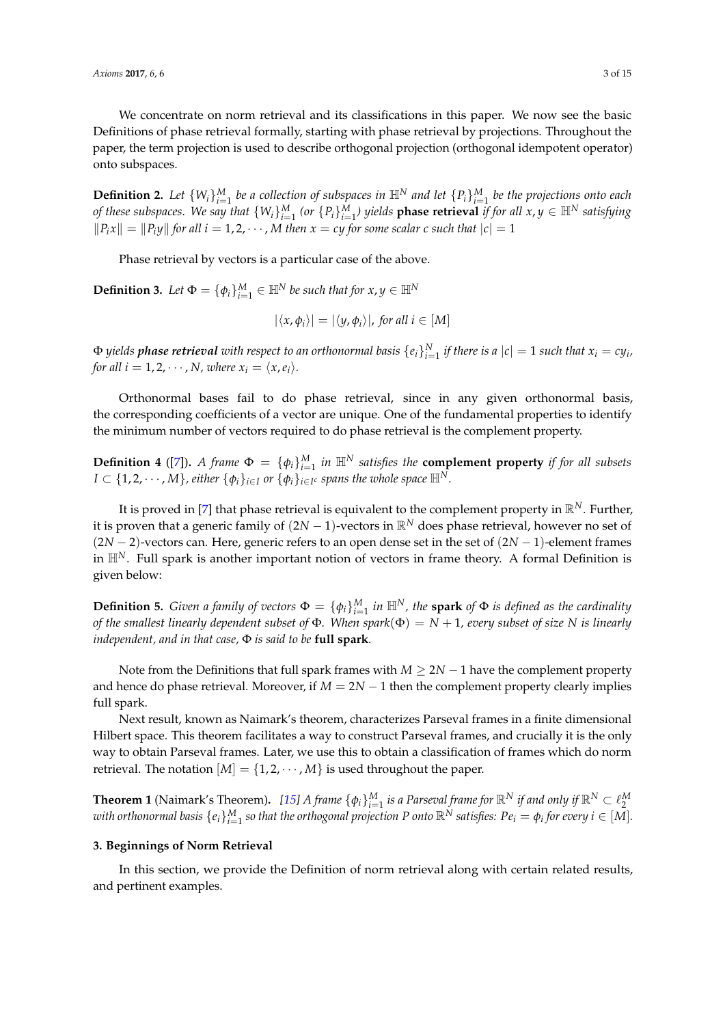We concentrate on norm retrieval and its classifications in this paper. We now see the basic Definitions of phase retrieval formally, starting with phase retrieval by projections. Throughout the paper, the term projection is used to describe orthogonal projection (orthogonal idempotent operator) onto subspaces.

**Definition 2.** Let  $\{W_i\}_{i=1}^M$  be a collection of subspaces in  $\mathbb{H}^N$  and let  $\{P_i\}_{i=1}^M$  be the projections onto each of these subspaces. We say that  $\{W_i\}_{i=1}^M$  (or  $\{P_i\}_{i=1}^M$ ) yields **phase retrieval** if for all  $x, y \in \mathbb{H}^N$  satisfying  $\|P_i x\| = \|P_i y\|$  for all  $i = 1, 2, \cdots$ , *M* then  $x = cy$  for some scalar c such that  $|c| = 1$ 

Phase retrieval by vectors is a particular case of the above.

**Definition 3.** Let  $\Phi = {\phi_i}_{i=1}^M \in \mathbb{H}^N$  be such that for  $x, y \in \mathbb{H}^N$ 

$$
|\langle x,\phi_i\rangle|=|\langle y,\phi_i\rangle|, \text{ for all } i\in[M]
$$

 $\Phi$  yields  $p$ hase retrieval with respect to an orthonormal basis  $\{e_i\}_{i=1}^N$  if there is a  $|c|=1$  such that  $x_i=cy_i$ , *for all i* = 1, 2,  $\cdots$ , *N*, *where*  $x_i = \langle x, e_i \rangle$ *.* 

Orthonormal bases fail to do phase retrieval, since in any given orthonormal basis, the corresponding coefficients of a vector are unique. One of the fundamental properties to identify the minimum number of vectors required to do phase retrieval is the complement property.

**Definition 4** ([\[7\]](#page-14-0)). *A frame*  $\Phi = {\phi_i}_{i=1}^M$  *in*  $\mathbb{H}^N$  *satisfies the* **complement property** *if for all subsets*  $I \subset \{1, 2, \cdots, M\}$ , either  $\{\phi_i\}_{i \in I}$  or  $\{\phi_i\}_{i \in I^c}$  spans the whole space  $\mathbb{H}^N$ .

It is proved in [\[7\]](#page-14-0) that phase retrieval is equivalent to the complement property in  $\mathbb{R}^N$ . Further, it is proven that a generic family of  $(2N - 1)$ -vectors in  $\mathbb{R}^N$  does phase retrieval, however no set of (2*N* − 2)-vectors can. Here, generic refers to an open dense set in the set of (2*N* − 1)-element frames in H*N*. Full spark is another important notion of vectors in frame theory. A formal Definition is given below:

**Definition 5.** *Given a family of vectors*  $\Phi = \{\phi_i\}_{i=1}^M$  *in*  $\mathbb{H}^N$ *, the spark of*  $\Phi$  *is defined as the cardinality of the smallest linearly dependent subset of* Φ*. When spark*(Φ) = *N* + 1*, every subset of size N is linearly independent, and in that case,* Φ *is said to be* **full spark***.*

Note from the Definitions that full spark frames with *M* ≥ 2*N* − 1 have the complement property and hence do phase retrieval. Moreover, if  $M = 2N - 1$  then the complement property clearly implies full spark.

Next result, known as Naimark's theorem, characterizes Parseval frames in a finite dimensional Hilbert space. This theorem facilitates a way to construct Parseval frames, and crucially it is the only way to obtain Parseval frames. Later, we use this to obtain a classification of frames which do norm retrieval. The notation  $[M] = \{1, 2, \cdots, M\}$  is used throughout the paper.

**Theorem 1** (Naimark's Theorem). [\[15\]](#page-14-8) A frame  $\{\phi_i\}_{i=1}^M$  is a Parseval frame for  $\mathbb{R}^N$  if and only if  $\mathbb{R}^N \subset \ell_2^M$  with orthonormal basis  $\{e_i\}_{i=1}^M$  so that the orthogonal projection P onto  $\mathbb{R}^N$  s

#### <span id="page-2-0"></span>**3. Beginnings of Norm Retrieval**

In this section, we provide the Definition of norm retrieval along with certain related results, and pertinent examples.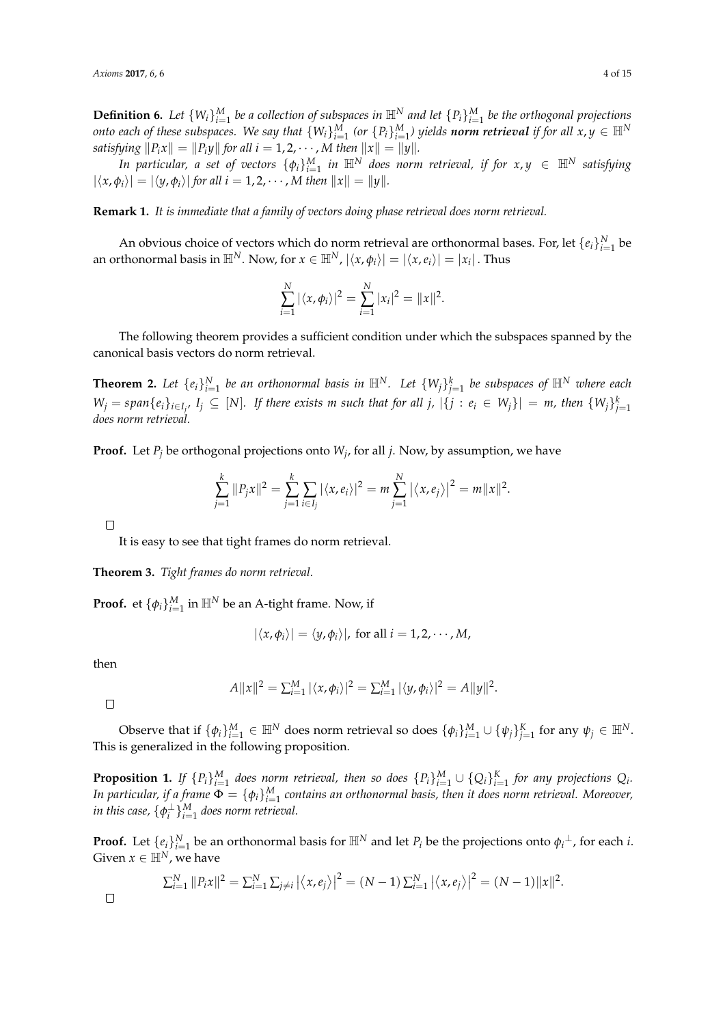**Definition 6.** Let  $\{W_i\}_{i=1}^M$  be a collection of subspaces in  $\mathbb{H}^N$  and let  $\{P_i\}_{i=1}^M$  be the orthogonal projections *onto each of these subspaces. We say that*  $\{W_i\}_{i=1}^M$  *(or*  $\{P_i\}_{i=1}^M$ *) yields norm retrieval if for all*  $x,y\in\mathbb{H}^N$ *satisfying*  $||P_i x|| = ||P_i y||$  *for all i* = 1, 2, · · · , *M then*  $||x|| = ||y||$ *.* 

*In particular, a set of vectors*  $\{\phi_i\}_{i=1}^M$  *in*  $\mathbb{H}^N$  *does norm retrieval, if for*  $x, y \in \mathbb{H}^N$  *satisfying*  $|\langle x, \phi_i \rangle| = |\langle y, \phi_i \rangle|$  for all  $i = 1, 2, \dots$ , *M* then  $||x|| = ||y||$ .

**Remark 1.** *It is immediate that a family of vectors doing phase retrieval does norm retrieval.*

An obvious choice of vectors which do norm retrieval are orthonormal bases. For, let  $\{e_i\}_{i=1}^N$  be an orthonormal basis in  $\mathbb{H}^N$ . Now, for  $x\in \mathbb{H}^N$ ,  $|\langle x,\phi_i\rangle|=|\langle x,e_i\rangle|=|x_i|$  . Thus

$$
\sum_{i=1}^{N} |\langle x, \phi_i \rangle|^2 = \sum_{i=1}^{N} |x_i|^2 = ||x||^2.
$$

The following theorem provides a sufficient condition under which the subspaces spanned by the canonical basis vectors do norm retrieval.

**Theorem 2.** Let  $\{e_i\}_{i=1}^N$  be an orthonormal basis in  $\mathbb{H}^N$ . Let  $\{W_j\}_{j=1}^k$  be subspaces of  $\mathbb{H}^N$  where each  $W_j = span\{e_i\}_{i\in I_{j'}}$ ,  $I_j \subseteq [N]$ . If there exists m such that for all  $j$ ,  $|\{j : e_i \in W_j\}| = m$ , then  $\{W_j\}_{j=1}^k$ *does norm retrieval.*

**Proof.** Let  $P_j$  be orthogonal projections onto  $W_j$ , for all *j*. Now, by assumption, we have

$$
\sum_{j=1}^k \|P_j x\|^2 = \sum_{j=1}^k \sum_{i \in I_j} |\langle x, e_i \rangle|^2 = m \sum_{j=1}^N |\langle x, e_j \rangle|^2 = m \|x\|^2.
$$

 $\Box$ 

It is easy to see that tight frames do norm retrieval.

**Theorem 3.** *Tight frames do norm retrieval.*

**Proof.** et  $\{\phi_i\}_{i=1}^M$  in  $\mathbb{H}^N$  be an A-tight frame. Now, if

$$
|\langle x,\phi_i\rangle| = \langle y,\phi_i\rangle|
$$
, for all  $i = 1,2,\cdots,M$ ,

then

$$
A||x||^2 = \sum_{i=1}^M |\langle x, \phi_i \rangle|^2 = \sum_{i=1}^M |\langle y, \phi_i \rangle|^2 = A||y||^2.
$$

 $\Box$ 

 $\Box$ 

Observe that if  $\{\phi_i\}_{i=1}^M \in \mathbb{H}^N$  does norm retrieval so does  $\{\phi_i\}_{i=1}^M \cup \{\psi_j\}_{j=1}^K$  for any  $\psi_j \in \mathbb{H}^N$ . This is generalized in the following proposition.

**Proposition 1.** If  $\{P_i\}_{i=1}^M$  does norm retrieval, then so does  $\{P_i\}_{i=1}^M\cup\{Q_i\}_{i=1}^K$  for any projections  $Q_i$ . In particular, if a frame  $\Phi = \{\phi_i\}_{i=1}^M$  contains an orthonormal basis, then it does norm retrieval. Moreover, in this case,  $\{\phi_i^{\perp}\}_{i=1}^M$  does norm retrieval.

**Proof.** Let  $\{e_i\}_{i=1}^N$  be an orthonormal basis for  $\mathbb{H}^N$  and let  $P_i$  be the projections onto  $\phi_i^{\perp}$ , for each *i*. Given  $x \in \mathbb{H}^N$ , we have

$$
\sum_{i=1}^{N} ||P_i x||^2 = \sum_{i=1}^{N} \sum_{j \neq i} |\langle x, e_j \rangle|^2 = (N-1) \sum_{i=1}^{N} |\langle x, e_j \rangle|^2 = (N-1) ||x||^2.
$$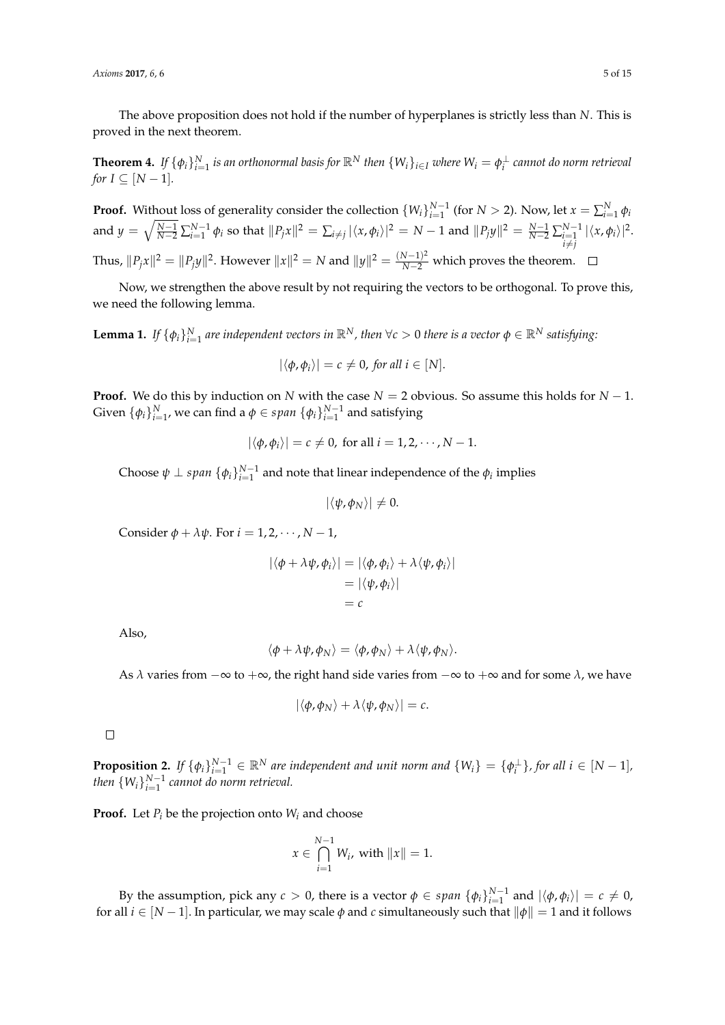The above proposition does not hold if the number of hyperplanes is strictly less than *N*. This is proved in the next theorem.

**Theorem 4.** If  $\{\phi_i\}_{i=1}^N$  is an orthonormal basis for  $\mathbb{R}^N$  then  $\{W_i\}_{i\in I}$  where  $W_i=\phi_i^\perp$  cannot do norm retrieval *for*  $I \subseteq [N-1]$ *.* 

**Proof.** Without loss of generality consider the collection  $\{W_i\}_{i=1}^{N-1}$  (for  $N > 2$ ). Now, let  $x = \sum_{i=1}^{N} \phi_i$ and  $y = \sqrt{\frac{N-1}{N-2}} \sum_{i=1}^{N-1} \phi_i$  so that  $||P_j x||^2 = \sum_{i \neq j} |\langle x, \phi_i \rangle|^2 = N-1$  and  $||P_j y||^2 = \frac{N-1}{N-2} \sum_{\substack{i=1 \\ i \neq j}}^{N-1}$  $|\langle x, \phi_i \rangle|^2$ . Thus,  $||P_jx||^2 = ||P_jy||^2$ . However  $||x||^2 = N$  and  $||y||^2 = \frac{(N-1)^2}{N-2}$  which proves the theorem.

Now, we strengthen the above result by not requiring the vectors to be orthogonal. To prove this, we need the following lemma.

**Lemma 1.** If  $\{\phi_i\}_{i=1}^N$  are independent vectors in  $\mathbb{R}^N$ , then  $\forall c > 0$  there is a vector  $\phi \in \mathbb{R}^N$  satisfying:

$$
|\langle \phi, \phi_i \rangle| = c \neq 0, \text{ for all } i \in [N].
$$

**Proof.** We do this by induction on *N* with the case *N* = 2 obvious. So assume this holds for *N* − 1. Given  $\{\phi_i\}_{i=1}^N$ , we can find a  $\phi \in span \ \{\phi_i\}_{i=1}^{N-1}$  and satisfying

$$
|\langle \phi, \phi_i \rangle| = c \neq 0, \text{ for all } i = 1, 2, \cdots, N-1.
$$

Choose  $\psi \perp span \{\phi_i\}_{i=1}^{N-1}$  and note that linear independence of the  $\phi_i$  implies

$$
|\langle \psi, \phi_N \rangle| \neq 0.
$$

Consider  $\phi + \lambda \psi$ . For  $i = 1, 2, \dots, N - 1$ ,

$$
|\langle \phi + \lambda \psi, \phi_i \rangle| = |\langle \phi, \phi_i \rangle + \lambda \langle \psi, \phi_i \rangle|
$$
  
=  $|\langle \psi, \phi_i \rangle|$   
= c

Also,

$$
\langle \phi + \lambda \psi, \phi_N \rangle = \langle \phi, \phi_N \rangle + \lambda \langle \psi, \phi_N \rangle.
$$

As  $\lambda$  varies from  $-\infty$  to  $+\infty$ , the right hand side varies from  $-\infty$  to  $+\infty$  and for some  $\lambda$ , we have

$$
|\langle \phi, \phi_N \rangle + \lambda \langle \psi, \phi_N \rangle| = c.
$$

 $\Box$ 

**Proposition 2.** If  $\{\phi_i\}_{i=1}^{N-1} \in \mathbb{R}^N$  are independent and unit norm and  $\{W_i\} = \{\phi_i^{\perp}\}\$ , for all  $i \in [N-1]$ , *then*  $\{W_i\}_{i=1}^{N-1}$  cannot do norm retrieval.

**Proof.** Let  $P_i$  be the projection onto  $W_i$  and choose

$$
x \in \bigcap_{i=1}^{N-1} W_i, \text{ with } ||x|| = 1.
$$

By the assumption, pick any  $c > 0$ , there is a vector  $\phi \in span \{\phi_i\}_{i=1}^{N-1}$  and  $|\langle \phi, \phi_i \rangle| = c \neq 0$ , for all  $i \in [N-1]$ . In particular, we may scale  $\phi$  and *c* simultaneously such that  $\|\phi\| = 1$  and it follows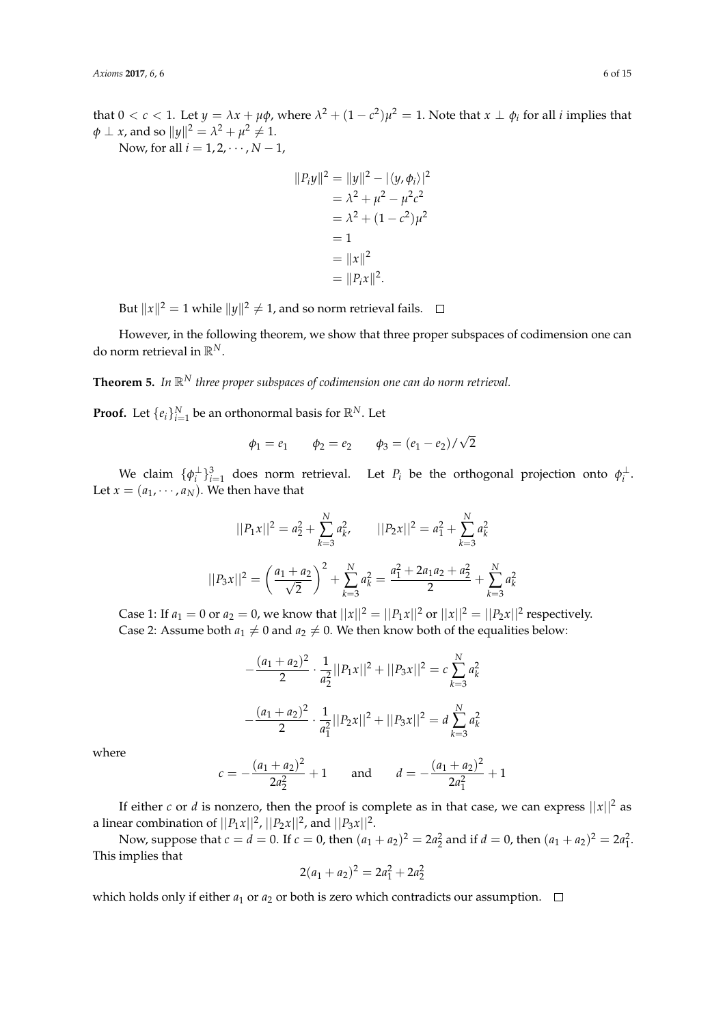that  $0 < c < 1$ . Let  $y = \lambda x + \mu \phi$ , where  $\lambda^2 + (1 - c^2)\mu^2 = 1$ . Note that  $x \perp \phi_i$  for all *i* implies that  $\phi \perp x$ , and so  $||y||^2 = \lambda^2 + \mu^2 \neq 1$ .

Now, for all  $i = 1, 2, \dots, N - 1$ ,

$$
||P_i y||^2 = ||y||^2 - |\langle y, \phi_i \rangle|^2
$$
  
=  $\lambda^2 + \mu^2 - \mu^2 c^2$   
=  $\lambda^2 + (1 - c^2)\mu^2$   
= 1  
=  $||x||^2$   
=  $||P_i x||^2$ .

But  $\|x\|^2 = 1$  while  $\|y\|^2 \neq 1$ , and so norm retrieval fails.

However, in the following theorem, we show that three proper subspaces of codimension one can do norm retrieval in R*N*.

**Theorem 5.** *In* R*<sup>N</sup> three proper subspaces of codimension one can do norm retrieval.*

**Proof.** Let  $\{e_i\}_{i=1}^N$  be an orthonormal basis for  $\mathbb{R}^N$ . Let

$$
\phi_1 = e_1
$$
  $\phi_2 = e_2$   $\phi_3 = (e_1 - e_2) / \sqrt{2}$ 

We claim  $\{\phi_i^{\perp}\}_{i=1}^3$  does norm retrieval. Let  $P_i$  be the orthogonal projection onto  $\phi_i^{\perp}$ . Let  $x = (a_1, \dots, a_N)$ . We then have that

$$
||P_1x||^2 = a_2^2 + \sum_{k=3}^{N} a_k^2, \qquad ||P_2x||^2 = a_1^2 + \sum_{k=3}^{N} a_k^2
$$

$$
||P_3x||^2 = \left(\frac{a_1 + a_2}{\sqrt{2}}\right)^2 + \sum_{k=3}^{N} a_k^2 = \frac{a_1^2 + 2a_1a_2 + a_2^2}{2} + \sum_{k=3}^{N} a_k^2
$$

Case 1: If  $a_1 = 0$  or  $a_2 = 0$ , we know that  $||x||^2 = ||P_1x||^2$  or  $||x||^2 = ||P_2x||^2$  respectively. Case 2: Assume both  $a_1 \neq 0$  and  $a_2 \neq 0$ . We then know both of the equalities below:

$$
-\frac{(a_1 + a_2)^2}{2} \cdot \frac{1}{a_2^2} ||P_1x||^2 + ||P_3x||^2 = c \sum_{k=3}^N a_k^2
$$

$$
-\frac{(a_1 + a_2)^2}{2} \cdot \frac{1}{a_1^2} ||P_2x||^2 + ||P_3x||^2 = d \sum_{k=3}^N a_k^2
$$

where

$$
c = -\frac{(a_1 + a_2)^2}{2a_2^2} + 1
$$
 and  $d = -\frac{(a_1 + a_2)^2}{2a_1^2} + 1$ 

If either *c* or *d* is nonzero, then the proof is complete as in that case, we can express  $||x||^2$  as a linear combination of  $||P_1x||^2$ ,  $||P_2x||^2$ , and  $||P_3x||^2$ .

Now, suppose that  $c = d = 0$ . If  $c = 0$ , then  $(a_1 + a_2)^2 = 2a_2^2$  and if  $d = 0$ , then  $(a_1 + a_2)^2 = 2a_1^2$ . This implies that

$$
2(a_1 + a_2)^2 = 2a_1^2 + 2a_2^2
$$

which holds only if either  $a_1$  or  $a_2$  or both is zero which contradicts our assumption.  $\Box$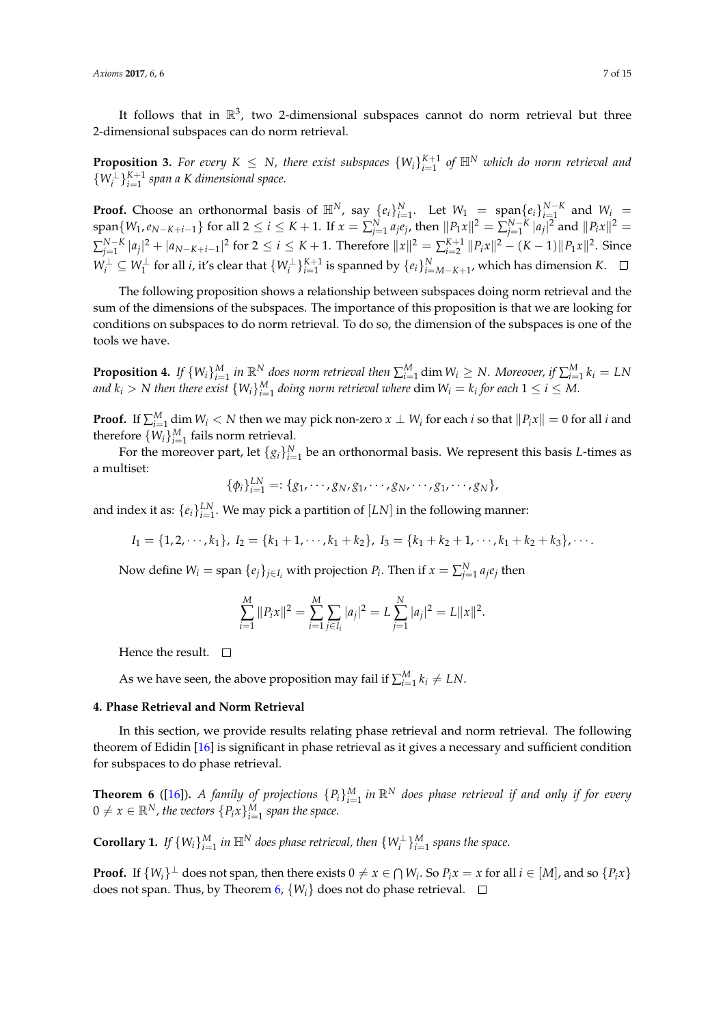It follows that in  $\mathbb{R}^3$ , two 2-dimensional subspaces cannot do norm retrieval but three 2-dimensional subspaces can do norm retrieval.

**Proposition 3.** For every  $K \leq N$ , there exist subspaces  $\{W_i\}_{i=1}^{K+1}$  of  $\mathbb{H}^N$  which do norm retrieval and  $\{W_i^{\perp}\}_{i=1}^{K+1}$  span a K dimensional space.

**Proof.** Choose an orthonormal basis of  $\mathbb{H}^N$ , say  $\{e_i\}_{i=1}^N$ . Let  $W_1 = \text{span}\{e_i\}_{i=1}^{N-K}$  and  $W_i = \text{span}\{e_i\}_{i=1}^{N-K}$  $\text{span}\{W_1, e_{N-K+i-1}\}\text{ for all }2 \leq i \leq K+1\text{. If }x = \sum_{j=1}^{N}a_j e_j\text{, then }||P_1x||^2 = \sum_{j=1}^{N-K} |a_j|^2\text{ and }||P_ix||^2 =$  $\sum_{j=1}^{N-K} |a_j|^2 + |a_{N-K+i-1}|^2$  for  $2 \le i \le K+1$ . Therefore  $||x||^2 = \sum_{i=2}^{K+1} ||P_i x||^2 - (K-1)||P_1 x||^2$ . Since *W*<sub>i</sub><sup>⊥</sup> ⊆ *W*<sub>1</sub><sup>⊥</sup> for all *i*, it's clear that  $\{W_i^\perp\}_{i=1}^{K+1}$  is spanned by  $\{e_i\}_{i=M-K+1}^N$ , which has dimension *K*.

The following proposition shows a relationship between subspaces doing norm retrieval and the sum of the dimensions of the subspaces. The importance of this proposition is that we are looking for conditions on subspaces to do norm retrieval. To do so, the dimension of the subspaces is one of the tools we have.

**Proposition 4.** If  $\{W_i\}_{i=1}^M$  in  $\mathbb{R}^N$  does norm retrieval then  $\sum_{i=1}^M \dim W_i \ge N$ . Moreover, if  $\sum_{i=1}^M k_i = LN$ and  $k_i > N$  then there exist  $\{W_i\}_{i=1}^M$  doing norm retrieval where  $\dim W_i = k_i$  for each  $1 \leq i \leq M$ .

**Proof.** If  $\sum_{i=1}^{M}$  dim  $W_i < N$  then we may pick non-zero  $x \perp W_i$  for each *i* so that  $\|P_i x\| = 0$  for all *i* and therefore  $\{W_i\}_{i=1}^M$  fails norm retrieval.

For the moreover part, let  $\{g_i\}_{i=1}^N$  be an orthonormal basis. We represent this basis *L*-times as a multiset:

$$
\{\phi_i\}_{i=1}^{LN} =: \{g_1, \cdots, g_N, g_1, \cdots, g_N, \cdots, g_1, \cdots, g_N\},\
$$

and index it as:  $\{e_i\}_{i=1}^{LN}$ . We may pick a partition of  $[LN]$  in the following manner:

$$
I_1 = \{1, 2, \cdots, k_1\}, I_2 = \{k_1 + 1, \cdots, k_1 + k_2\}, I_3 = \{k_1 + k_2 + 1, \cdots, k_1 + k_2 + k_3\}, \cdots
$$

Now define  $W_i = \text{span } \{e_j\}_{j \in I_i}$  with projection  $P_i$ . Then if  $x = \sum_{j=1}^{N} a_j e_j$  then

$$
\sum_{i=1}^{M} ||P_i x||^2 = \sum_{i=1}^{M} \sum_{j \in I_i} |a_j|^2 = L \sum_{j=1}^{N} |a_j|^2 = L ||x||^2.
$$

Hence the result.  $\square$ 

As we have seen, the above proposition may fail if  $\sum_{i=1}^{M} k_i \neq LN$ .

# <span id="page-6-0"></span>**4. Phase Retrieval and Norm Retrieval**

In this section, we provide results relating phase retrieval and norm retrieval. The following theorem of Edidin [\[16\]](#page-14-9) is significant in phase retrieval as it gives a necessary and sufficient condition for subspaces to do phase retrieval.

<span id="page-6-1"></span>**Theorem 6** ([\[16\]](#page-14-9)). A family of projections  ${P_i}_{i=1}^M$  in  $\mathbb{R}^N$  does phase retrieval if and only if for every  $0 \neq x \in \mathbb{R}^N$ , the vectors  $\{P_i x\}_{i=1}^M$  span the space.

**Corollary 1.** *If*  $\{W_i\}_{i=1}^M$  *in*  $\mathbb{H}^N$  *does phase retrieval, then*  $\{W_i^{\perp}\}_{i=1}^M$  *spans the space.* 

**Proof.** If  $\{W_i\}^{\perp}$  does not span, then there exists  $0 \neq x \in \bigcap W_i$ . So  $P_ix = x$  for all  $i \in [M]$ , and so  $\{P_ix\}$ does not span. Thus, by Theorem [6,](#page-6-1)  $\{W_i\}$  does not do phase retrieval.  $\Box$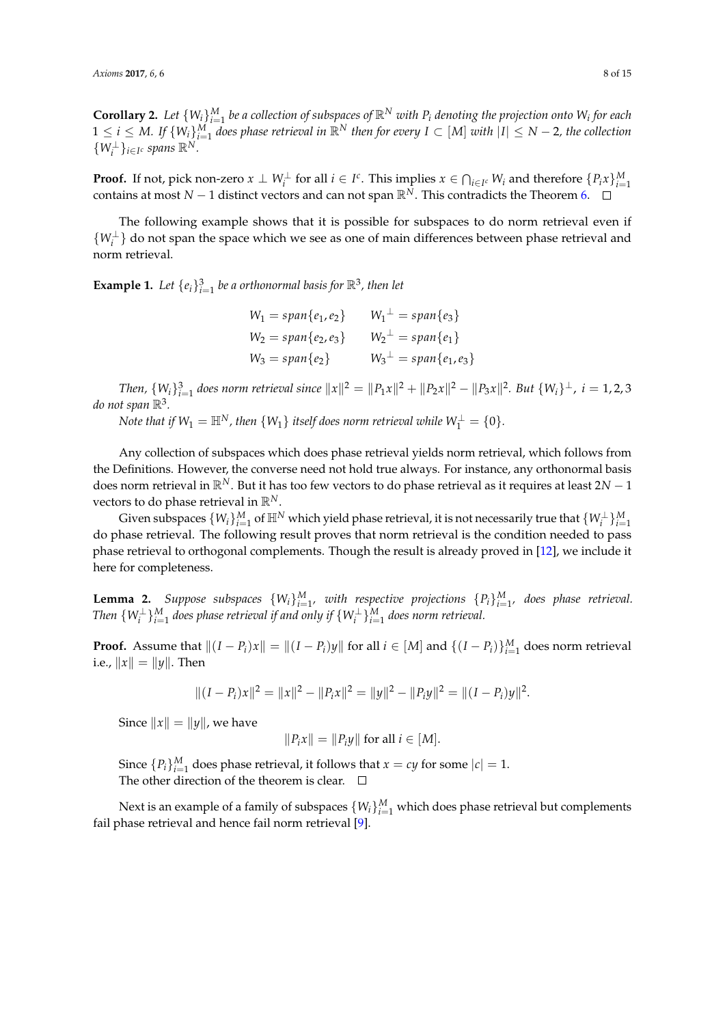**Corollary 2.** Let  $\{W_i\}_{i=1}^M$  be a collection of subspaces of  $\mathbb{R}^N$  with  $P_i$  denoting the projection onto  $W_i$  for each  $1 \leq i \leq M$ . If  $\{W_i\}_{i=1}^M$  does phase retrieval in  $\mathbb{R}^N$  then for every  $I \subset [M]$  with  $|I| \leq N-2$ , the collection  $\{W_i^{\perp}\}_{i\in I^c}$  spans  $\mathbb{R}^N$ .

**Proof.** If not, pick non-zero  $x \perp W_i^{\perp}$  for all  $i \in I^c$ . This implies  $x \in \bigcap_{i \in I^c} W_i$  and therefore  $\{P_i x\}_{i=1}^M$ contains at most *N* − 1 distinct vectors and can not span  $\mathbb{R}^N$ . This contradicts the Theorem [6.](#page-6-1)  $\Box$ 

The following example shows that it is possible for subspaces to do norm retrieval even if  ${W_i^{\perp}}$  do not span the space which we see as one of main differences between phase retrieval and norm retrieval.

**Example 1.** Let  $\{e_i\}_{i=1}^3$  be a orthonormal basis for  $\mathbb{R}^3$ , then let

| $W_1 = span\{e_1, e_2\}$ | $W_1^{\perp} = span\{e_3\}$      |
|--------------------------|----------------------------------|
| $W_2 = span\{e_2, e_3\}$ | $W_2^{\perp} = span\{e_1\}$      |
| $W_3 = span\{e_2\}$      | $W_3^{\perp} = span\{e_1, e_3\}$ |

*Then,*  $\{W_i\}_{i=1}^3$  does norm retrieval since  $||x||^2 = ||P_1x||^2 + ||P_2x||^2 - ||P_3x||^2$ . But  $\{W_i\}^{\perp}$ ,  $i = 1, 2, 3$ do not span  $\mathbb{R}^3$ .

*Note that if*  $W_1 = \mathbb{H}^N$ *, then*  $\{W_1\}$  *itself does norm retrieval while*  $W_1^\perp = \{0\}.$ 

Any collection of subspaces which does phase retrieval yields norm retrieval, which follows from the Definitions. However, the converse need not hold true always. For instance, any orthonormal basis does norm retrieval in R*N*. But it has too few vectors to do phase retrieval as it requires at least 2*N* − 1 vectors to do phase retrieval in R*N*.

Given subspaces  $\{W_i\}_{i=1}^M$  of  $\mathbb{H}^N$  which yield phase retrieval, it is not necessarily true that  $\{W_i^\perp\}_{i=1}^M$ do phase retrieval. The following result proves that norm retrieval is the condition needed to pass phase retrieval to orthogonal complements. Though the result is already proved in [\[12\]](#page-14-5), we include it here for completeness.

<span id="page-7-0"></span>**Lemma 2.** *Suppose subspaces*  $\{W_i\}_{i=1}^M$ , with respective projections  $\{P_i\}_{i=1}^M$ , does phase retrieval. Then  $\{W_i^{\perp}\}_{i=1}^M$  does phase retrieval if and only if  $\{W_i^{\perp}\}_{i=1}^M$  does norm retrieval.

**Proof.** Assume that  $||(I - P_i)x|| = ||(I - P_i)y||$  for all  $i \in [M]$  and  $\{(I - P_i)\}_{i=1}^M$  does norm retrieval i.e.,  $||x|| = ||y||$ . Then

$$
||(I - P_i)x||^2 = ||x||^2 - ||P_i x||^2 = ||y||^2 - ||P_i y||^2 = ||(I - P_i)y||^2.
$$

Since  $||x|| = ||y||$ , we have

$$
||P_ix|| = ||P_iy||
$$
 for all  $i \in [M]$ .

Since  ${P_i}_{i=1}^M$  does phase retrieval, it follows that  $x = cy$  for some  $|c| = 1$ . The other direction of the theorem is clear.  $\Box$ 

Next is an example of a family of subspaces  $\{W_i\}_{i=1}^M$  which does phase retrieval but complements fail phase retrieval and hence fail norm retrieval [\[9\]](#page-14-2).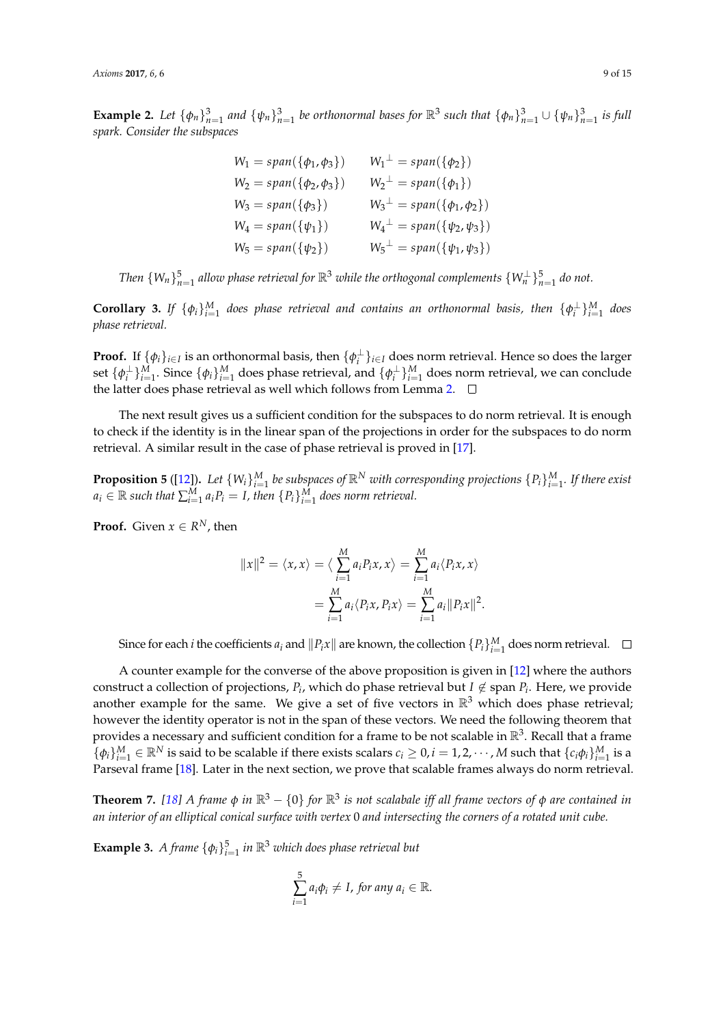**Example 2.** Let  $\{\phi_n\}_{n=1}^3$  and  $\{\psi_n\}_{n=1}^3$  be orthonormal bases for  $\mathbb{R}^3$  such that  $\{\phi_n\}_{n=1}^3 \cup \{\psi_n\}_{n=1}^3$  is full *spark. Consider the subspaces*

> $W_1 = span(\{\phi_1, \phi_3\})$   $W_1^{\perp} = span(\{\phi_2\})$  $W_2 = span(\{\phi_2, \phi_3\})$   $W_2^{\perp} = span(\{\phi_1\})$  $W_3 = span(\{\phi_3\})$   $W_3^{\perp} = span(\{\phi_1, \phi_2\})$  $W_4 = span(\{\psi_1\})$   $W_4^{\perp} = span(\{\psi_2, \psi_3\})$  $W_5 = span({\psi_2})$  $W_5^{\perp} = span(\{\psi_1, \psi_3\})$

*Then*  $\{W_n\}_{n=1}^5$  allow phase retrieval for  $\mathbb{R}^3$  while the orthogonal complements  $\{W_n^\perp\}_{n=1}^5$  do not.

**Corollary 3.** If  $\{\phi_i\}_{i=1}^M$  does phase retrieval and contains an orthonormal basis, then  $\{\phi_i^{\perp}\}_{i=1}^M$  does *phase retrieval.*

**Proof.** If  $\{\phi_i\}_{i\in I}$  is an orthonormal basis, then  $\{\phi_i^{\perp}\}_{i\in I}$  does norm retrieval. Hence so does the larger set  $\{\phi_i^{\perp}\}_{i=1}^M$ . Since  $\{\phi_i\}_{i=1}^M$  does phase retrieval, and  $\{\phi_i^{\perp}\}_{i=1}^M$  does norm retrieval, we can conclude the latter does phase retrieval as well which follows from Lemma [2.](#page-7-0)  $\square$ 

The next result gives us a sufficient condition for the subspaces to do norm retrieval. It is enough to check if the identity is in the linear span of the projections in order for the subspaces to do norm retrieval. A similar result in the case of phase retrieval is proved in [\[17\]](#page-14-10).

**Proposition 5** ([\[12\]](#page-14-5)). Let  $\{W_i\}_{i=1}^M$  be subspaces of  $\mathbb{R}^N$  with corresponding projections  $\{P_i\}_{i=1}^M$ . If there exist  $a_i \in \mathbb{R}$  such that  $\sum_{i=1}^{M} a_i P_i = I$ , then  $\{P_i\}_{i=1}^{M}$  does norm retrieval.

**Proof.** Given  $x \in R^N$ , then

$$
||x||^2 = \langle x, x \rangle = \langle \sum_{i=1}^M a_i P_i x, x \rangle = \sum_{i=1}^M a_i \langle P_i x, x \rangle
$$
  
= 
$$
\sum_{i=1}^M a_i \langle P_i x, P_i x \rangle = \sum_{i=1}^M a_i ||P_i x||^2.
$$

Since for each *i* the coefficients  $a_i$  and  $\|P_i x\|$  are known, the collection  $\{P_i\}_{i=1}^M$  does norm retrieval.

A counter example for the converse of the above proposition is given in [\[12\]](#page-14-5) where the authors construct a collection of projections,  $P_i$ , which do phase retrieval but  $I \notin \text{span } P_i$ . Here, we provide another example for the same. We give a set of five vectors in  $\mathbb{R}^3$  which does phase retrieval; however the identity operator is not in the span of these vectors. We need the following theorem that provides a necessary and sufficient condition for a frame to be not scalable in  $\mathbb{R}^3$ . Recall that a frame  $\{\phi_i\}_{i=1}^M \in \mathbb{R}^N$  is said to be scalable if there exists scalars  $c_i \geq 0$ ,  $i = 1, 2, \cdots$ , *M* such that  $\{c_i \phi_i\}_{i=1}^M$  is a Parseval frame [\[18\]](#page-14-11). Later in the next section, we prove that scalable frames always do norm retrieval.

<span id="page-8-0"></span>**Theorem 7.** *[\[18\]](#page-14-11) A frame φ in* R<sup>3</sup> − {0} *for* R<sup>3</sup> *is not scalabale iff all frame vectors of φ are contained in an interior of an elliptical conical surface with vertex* 0 *and intersecting the corners of a rotated unit cube.*

**Example 3.** *A frame*  $\{\phi_i\}_{i=1}^5$  *in*  $\mathbb{R}^3$  *which does phase retrieval but* 

$$
\sum_{i=1}^5 a_i \phi_i \neq I, \text{ for any } a_i \in \mathbb{R}.
$$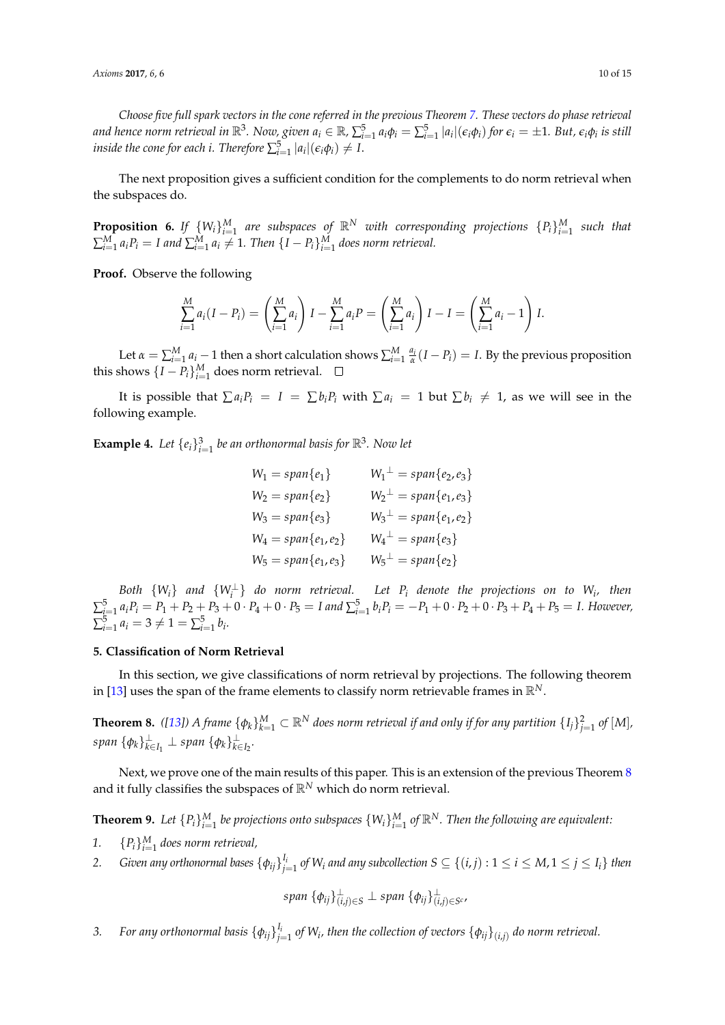*Choose five full spark vectors in the cone referred in the previous Theorem [7.](#page-8-0) These vectors do phase retrieval* and hence norm retrieval in  $\R^3$ . Now, given  $a_i\in\R$ ,  $\sum_{i=1}^5a_i\phi_i=\sum_{i=1}^5|a_i|(\epsilon_i\phi_i)$  for  $\epsilon_i=\pm1$ . But,  $\epsilon_i\phi_i$  is still *inside the cone for each i. Therefore*  $\sum_{i=1}^{5} |a_i|(\epsilon_i \phi_i) \neq I$ .

The next proposition gives a sufficient condition for the complements to do norm retrieval when the subspaces do.

**Proposition 6.** If  $\{W_i\}_{i=1}^M$  are subspaces of  $\mathbb{R}^N$  with corresponding projections  $\{P_i\}_{i=1}^M$  such that  $\sum_{i=1}^{M} a_i P_i = I$  and  $\sum_{i=1}^{M} a_i \neq 1$ . Then  $\{I-P_i\}_{i=1}^{M}$  does norm retrieval.

**Proof.** Observe the following

$$
\sum_{i=1}^{M} a_i (I - P_i) = \left(\sum_{i=1}^{M} a_i\right) I - \sum_{i=1}^{M} a_i P = \left(\sum_{i=1}^{M} a_i\right) I - I = \left(\sum_{i=1}^{M} a_i - 1\right) I.
$$

Let  $\alpha = \sum_{i=1}^{M} a_i - 1$  then a short calculation shows  $\sum_{i=1}^{M} \frac{a_i}{\alpha} (I - P_i) = I$ . By the previous proposition this shows  $\{I - P_i\}_{i=1}^M$  does norm retrieval.

It is possible that  $\sum a_i P_i = I = \sum b_i P_i$  with  $\sum a_i = 1$  but  $\sum b_i \neq 1$ , as we will see in the following example.

**Example 4.** Let  $\{e_i\}_{i=1}^3$  be an orthonormal basis for  $\mathbb{R}^3$ . Now let

$$
W_1 = span{e_1} \qquad W_1^{\perp} = span{e_2, e_3}
$$
  
\n
$$
W_2 = span{e_2} \qquad W_2^{\perp} = span{e_1, e_3}
$$
  
\n
$$
W_3 = span{e_3} \qquad W_3^{\perp} = span{e_1, e_2}
$$
  
\n
$$
W_4 = span{e_1, e_2} \qquad W_4^{\perp} = span{e_3}
$$
  
\n
$$
W_5 = span{e_1, e_3} \qquad W_5^{\perp} = span{e_2}
$$

*Both*  $\{W_i\}$  *and*  $\{W_i^{\perp}\}$  *do norm retrieval.* Let  $P_i$  *denote the projections on to*  $W_i$ , *then*  $\sum_{i=1}^{5} a_i P_i = P_1 + P_2 + P_3 + 0 \cdot P_4 + 0 \cdot P_5 = I$  and  $\sum_{i=1}^{5} b_i P_i = -P_1 + 0 \cdot P_2 + 0 \cdot P_3 + P_4 + P_5 = I$ . However,  $\sum_{i=1}^{5} a_i = 3 \neq 1 = \sum_{i=1}^{5} b_i.$ 

## <span id="page-9-0"></span>**5. Classification of Norm Retrieval**

In this section, we give classifications of norm retrieval by projections. The following theorem in [\[13\]](#page-14-6) uses the span of the frame elements to classify norm retrievable frames in  $\mathbb{R}^N$ .

<span id="page-9-1"></span>**Theorem 8.** ([\[13\]](#page-14-6)) A frame  $\{\phi_k\}_{k=1}^M\subset\mathbb{R}^N$  does norm retrieval if and only if for any partition  $\{I_j\}_{j=1}^2$  of  $[M]$ ,  $span \{\phi_k\}_{k \in I_1}^{\perp} \perp span \{\phi_k\}_{k \in I_2}^{\perp}$ .

Next, we prove one of the main results of this paper. This is an extension of the previous Theorem [8](#page-9-1) and it fully classifies the subspaces of R*<sup>N</sup>* which do norm retrieval.

<span id="page-9-2"></span>**Theorem 9.** Let  $\{P_i\}_{i=1}^M$  be projections onto subspaces  $\{W_i\}_{i=1}^M$  of  $\mathbb{R}^N$ . Then the following are equivalent:

- 1.  ${P_i}_{i=1}^M$  does norm retrieval,
- 2. Given any orthonormal bases  $\{\phi_{ij}\}_{j=1}^{I_i}$  of  $W_i$  and any subcollection  $S\subseteq\{(i,j):1\leq i\leq M, 1\leq j\leq I_i\}$  then

$$
span\ \{\phi_{ij}\}_{(i,j)\in S}^{\perp} \perp span\ \{\phi_{ij}\}_{(i,j)\in S^c}^{\perp},
$$

3. For any orthonormal basis  $\{\phi_{ij}\}_{j=1}^{l_i}$  of W<sub>i</sub>, then the collection of vectors  $\{\phi_{ij}\}_{(i,j)}$  do norm retrieval.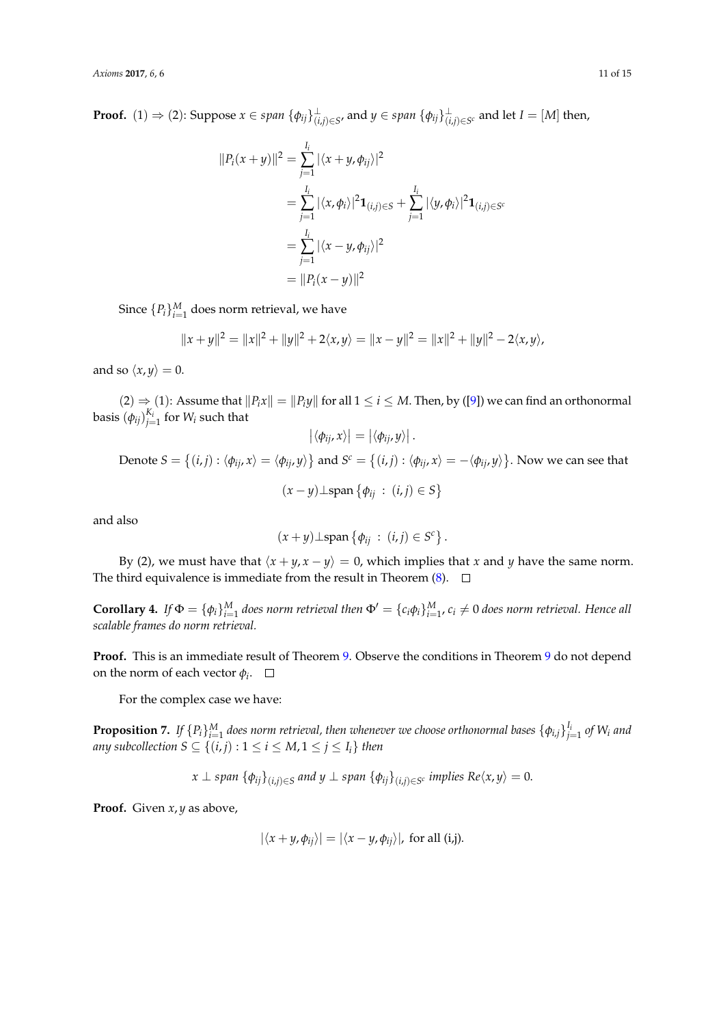**Proof.** (1)  $\Rightarrow$  (2): Suppose  $x \in span \{\phi_{ij}\}_{(i,j) \in S'}^{\perp}$  and  $y \in span \{\phi_{ij}\}_{(i,j) \in S^c}^{\perp}$  and let  $I = [M]$  then,

$$
||P_i(x + y)||^2 = \sum_{j=1}^{I_i} |\langle x + y, \phi_{ij} \rangle|^2
$$
  
=  $\sum_{j=1}^{I_i} |\langle x, \phi_i \rangle|^2 \mathbf{1}_{(i,j) \in S} + \sum_{j=1}^{I_i} |\langle y, \phi_i \rangle|^2 \mathbf{1}_{(i,j) \in S^c}$   
=  $\sum_{j=1}^{I_i} |\langle x - y, \phi_{ij} \rangle|^2$   
=  $||P_i(x - y)||^2$ 

Since  $\{P_i\}_{i=1}^M$  does norm retrieval, we have

$$
||x + y||2 = ||x||2 + ||y||2 + 2\langle x, y \rangle = ||x - y||2 = ||x||2 + ||y||2 - 2\langle x, y \rangle,
$$

and so  $\langle x, y \rangle = 0$ .

 $(2) \Rightarrow (1)$ : Assume that  $||P_i x|| = ||P_i y||$  for all  $1 \le i \le M$ . Then, by ([\[9\]](#page-14-2)) we can find an orthonormal basis  $(\phi_{ij})_{j=1}^{K_i}$  for  $W_i$  such that

$$
\left| \langle \phi_{ij}, x \rangle \right| = \left| \langle \phi_{ij}, y \rangle \right|.
$$
  
Denote  $S = \{(i, j) : \langle \phi_{ij}, x \rangle = \langle \phi_{ij}, y \rangle\}$  and  $S^c = \{(i, j) : \langle \phi_{ij}, x \rangle = -\langle \phi_{ij}, y \rangle\}$ . Now we can see that  

$$
(x - y) \perp \text{span} \{\phi_{ij} : (i, j) \in S\}
$$

and also

$$
(x+y)\perp \mathrm{span}\left\{\phi_{ij} : (i,j) \in S^c\right\}.
$$

By (2), we must have that  $\langle x + y, x - y \rangle = 0$ , which implies that *x* and *y* have the same norm. The third equivalence is immediate from the result in Theorem  $(8)$ .  $\Box$ 

**Corollary 4.** If  $\Phi = \{\phi_i\}_{i=1}^M$  does norm retrieval then  $\Phi' = \{c_i\phi_i\}_{i=1}^M$ ,  $c_i \neq 0$  does norm retrieval. Hence all *scalable frames do norm retrieval.*

**Proof.** This is an immediate result of Theorem [9.](#page-9-2) Observe the conditions in Theorem [9](#page-9-2) do not depend on the norm of each vector  $\phi_i$ .

For the complex case we have:

**Proposition 7.** If  $\{P_i\}_{i=1}^M$  does norm retrieval, then whenever we choose orthonormal bases  $\{\phi_{i,j}\}_{j=1}^{I_i}$  of W<sub>i</sub> and *any subcollection S*  $\subseteq$   $\{(i,j): 1 \le i \le M, 1 \le j \le I_i\}$  then

 $x \perp sp$ an  $\{\phi_{ij}\}_{(i,j)\in S}$  and  $y \perp sp$ an  $\{\phi_{ij}\}_{(i,j)\in S^c}$  *implies Re* $\langle x,y\rangle = 0.$ 

**Proof.** Given *x*, *y* as above,

$$
|\langle x+y,\phi_{ij}\rangle|=|\langle x-y,\phi_{ij}\rangle|, \text{ for all } (i,j).
$$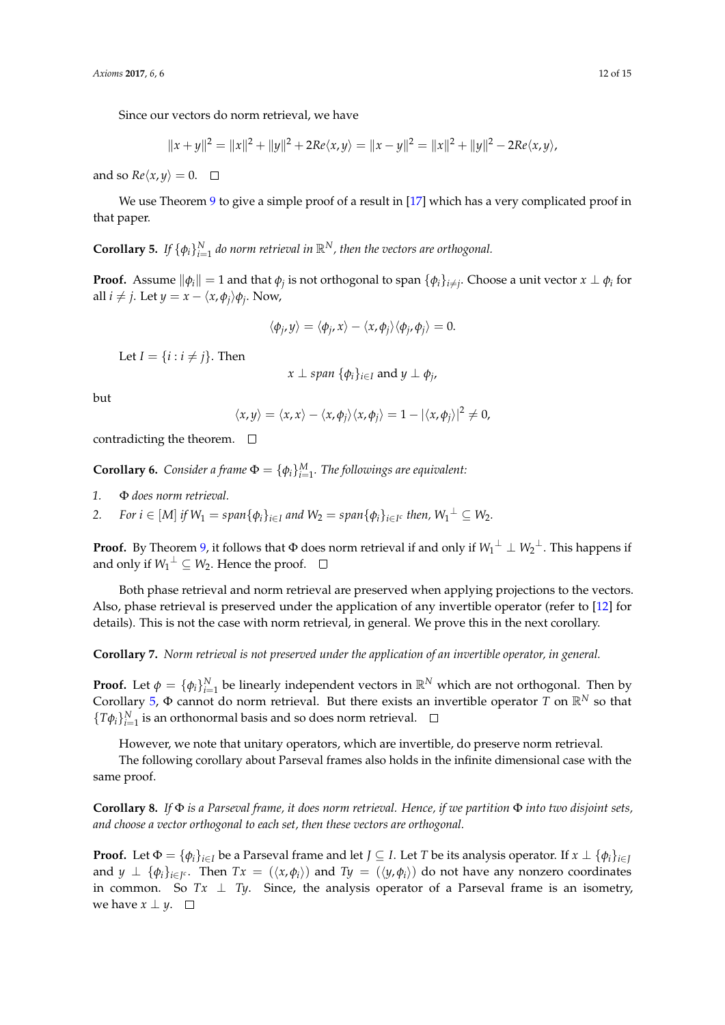Since our vectors do norm retrieval, we have

$$
||x + y||2 = ||x||2 + ||y||2 + 2Re\langle x, y \rangle = ||x - y||2 = ||x||2 + ||y||2 - 2Re\langle x, y \rangle,
$$

and so  $Re\langle x, y \rangle = 0$ .  $\Box$ 

We use Theorem [9](#page-9-2) to give a simple proof of a result in [\[17\]](#page-14-10) which has a very complicated proof in that paper.

<span id="page-11-0"></span>**Corollary 5.** If  $\{\phi_i\}_{i=1}^N$  do norm retrieval in  $\mathbb{R}^N$ , then the vectors are orthogonal.

**Proof.** Assume  $\|\phi_i\| = 1$  and that  $\phi_j$  is not orthogonal to span  $\{\phi_i\}_{i\neq j}$ . Choose a unit vector  $x \perp \phi_i$  for all  $i \neq j$ . Let  $y = x - \langle x, \phi_j \rangle \phi_j$ . Now,

$$
\langle \phi_j, y \rangle = \langle \phi_j, x \rangle - \langle x, \phi_j \rangle \langle \phi_j, \phi_j \rangle = 0.
$$

Let  $I = \{i : i \neq j\}$ . Then

$$
x \perp span \{\phi_i\}_{i \in I}
$$
 and  $y \perp \phi_j$ ,

but

$$
\langle x, y \rangle = \langle x, x \rangle - \langle x, \phi_j \rangle \langle x, \phi_j \rangle = 1 - |\langle x, \phi_j \rangle|^2 \neq 0,
$$

contradicting the theorem.  $\Box$ 

**Corollary 6.** *Consider a frame*  $\Phi = {\phi_i}_{i=1}^M$ *. The followings are equivalent:* 

- *1.* Φ *does norm retrieval.*
- 2. For  $i \in [M]$  if  $W_1 = span{\phi_i\}_{i \in I}$  and  $W_2 = span{\phi_i\}_{i \in I^c}$  then,  $W_1^{\perp} \subseteq W_2$ .

**Proof.** By Theorem [9,](#page-9-2) it follows that  $\Phi$  does norm retrieval if and only if  $W_1^{\perp} \perp W_2^{\perp}$ . This happens if and only if  $W_1^{\perp} \subseteq W_2$ . Hence the proof.

Both phase retrieval and norm retrieval are preserved when applying projections to the vectors. Also, phase retrieval is preserved under the application of any invertible operator (refer to [\[12\]](#page-14-5) for details). This is not the case with norm retrieval, in general. We prove this in the next corollary.

**Corollary 7.** *Norm retrieval is not preserved under the application of an invertible operator, in general.*

**Proof.** Let  $\phi = {\phi_i}_{i=1}^N$  be linearly independent vectors in  $\mathbb{R}^N$  which are not orthogonal. Then by Corollary [5,](#page-11-0)  $\Phi$  cannot do norm retrieval. But there exists an invertible operator *T* on  $\mathbb{R}^N$  so that  ${T\phi_i}_{i=1}^N$  is an orthonormal basis and so does norm retrieval.

However, we note that unitary operators, which are invertible, do preserve norm retrieval.

The following corollary about Parseval frames also holds in the infinite dimensional case with the same proof.

**Corollary 8.** *If* Φ *is a Parseval frame, it does norm retrieval. Hence, if we partition* Φ *into two disjoint sets, and choose a vector orthogonal to each set, then these vectors are orthogonal.*

**Proof.** Let  $\Phi = \{\phi_i\}_{i \in I}$  be a Parseval frame and let  $J \subseteq I$ . Let *T* be its analysis operator. If  $x \perp \{\phi_i\}_{i \in I}$ and  $y \perp \{\phi_i\}_{i\in I^c}$ . Then  $Tx = (\langle x, \phi_i \rangle)$  and  $Ty = (\langle y, \phi_i \rangle)$  do not have any nonzero coordinates in common. So  $Tx \perp Ty$ . Since, the analysis operator of a Parseval frame is an isometry, we have  $x \perp y$ .  $\Box$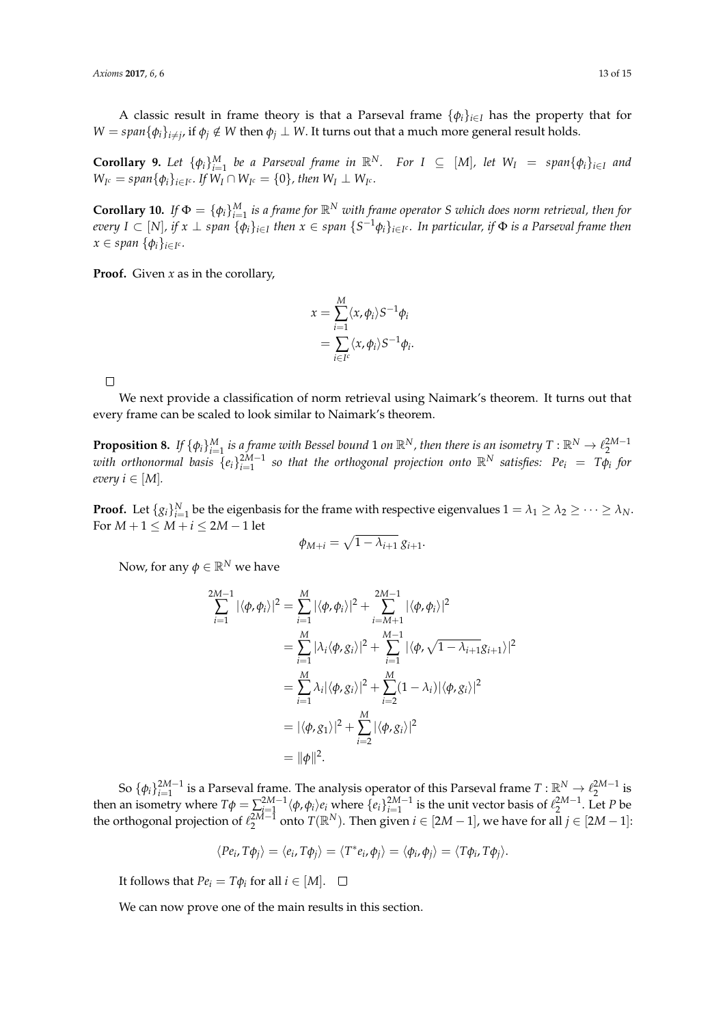A classic result in frame theory is that a Parseval frame  $\{\phi_i\}_{i\in I}$  has the property that for  $W = span{\{\phi_i\}_{i \neq j}}$ , if  $\phi_j \notin W$  then  $\phi_j \perp W$ . It turns out that a much more general result holds.

**Corollary 9.** Let  $\{\phi_i\}_{i=1}^M$  be a Parseval frame in  $\mathbb{R}^N$ . For  $I \subseteq [M]$ , let  $W_I = span\{\phi_i\}_{i \in I}$  and  $W_{I^c} = span{\phi_i\}_{i \in I^c}$ . If  $W_I \cap W_{I^c} = \{0\}$ , then  $W_I \perp W_{I^c}$ .

**Corollary 10.** If  $\Phi = \{\phi_i\}_{i=1}^M$  is a frame for  $\mathbb{R}^N$  with frame operator *S* which does norm retrieval, then for every I  $\subset$   $[N]$ , if  $x\perp$  span  $\{\phi_i\}_{i\in I}$  then  $x\in$  span  $\{S^{-1}\phi_i\}_{i\in I^c}.$  In particular, if  $\Phi$  is a Parseval frame then  $x \in span \{\phi_i\}_{i \in I^c}$ .

**Proof.** Given *x* as in the corollary,

$$
x = \sum_{i=1}^{M} \langle x, \phi_i \rangle S^{-1} \phi_i
$$
  
= 
$$
\sum_{i \in I^c} \langle x, \phi_i \rangle S^{-1} \phi_i.
$$

 $\Box$ 

We next provide a classification of norm retrieval using Naimark's theorem. It turns out that every frame can be scaled to look similar to Naimark's theorem.

<span id="page-12-0"></span>**Proposition 8.** If  $\{\phi_i\}_{i=1}^M$  is a frame with Bessel bound 1 on  $\mathbb{R}^N$ , then there is an isometry  $T : \mathbb{R}^N \to \ell_2^{2M-1}$ <br>with orthonormal basis  $\{e_i\}_{i=1}^{2M-1}$  so that the orthogonal projection onto  $\mathbb{R}^$ *every*  $i \in [M]$ *.* 

**Proof.** Let  $\{g_i\}_{i=1}^N$  be the eigenbasis for the frame with respective eigenvalues  $1 = \lambda_1 \geq \lambda_2 \geq \cdots \geq \lambda_N$ . For  $M+1 \leq M+i \leq 2M-1$  let

$$
\phi_{M+i} = \sqrt{1 - \lambda_{i+1}} g_{i+1}.
$$

Now, for any  $\phi \in \mathbb{R}^N$  we have

$$
\sum_{i=1}^{2M-1} |\langle \phi, \phi_i \rangle|^2 = \sum_{i=1}^M |\langle \phi, \phi_i \rangle|^2 + \sum_{i=M+1}^{2M-1} |\langle \phi, \phi_i \rangle|^2
$$
  
= 
$$
\sum_{i=1}^M |\lambda_i \langle \phi, g_i \rangle|^2 + \sum_{i=1}^{M-1} |\langle \phi, \sqrt{1 - \lambda_{i+1}} g_{i+1} \rangle|^2
$$
  
= 
$$
\sum_{i=1}^M \lambda_i |\langle \phi, g_i \rangle|^2 + \sum_{i=2}^M (1 - \lambda_i) |\langle \phi, g_i \rangle|^2
$$
  
= 
$$
|\langle \phi, g_1 \rangle|^2 + \sum_{i=2}^M |\langle \phi, g_i \rangle|^2
$$
  
= 
$$
||\phi||^2.
$$

So  $\{\phi_i\}_{i=1}^{2M-1}$  is a Parseval frame. The analysis operator of this Parseval frame  $T : \mathbb{R}^N \to \ell_2^{2M-1}$  is then an isometry where  $T\phi = \sum_{i=1}^{2M-1} \langle \phi, \phi_i \rangle e_i$  where  $\{e_i\}_{i=1}^{2M-1}$  is the unit vector basis of  $\ell_2^{2M-1}$ . Let *P* be the orthogonal projection of  $\ell_2^{2M-1}$  onto  $T(\mathbb{R}^N)$ . Then given  $i \in [2M-1]$ , we have for all  $j \in [2M-1]$ :

$$
\langle Pe_i, T\phi_j \rangle = \langle e_i, T\phi_j \rangle = \langle T^*e_i, \phi_j \rangle = \langle \phi_i, \phi_j \rangle = \langle T\phi_i, T\phi_j \rangle.
$$

It follows that  $Pe_i = T\phi_i$  for all  $i \in [M]$ .

We can now prove one of the main results in this section.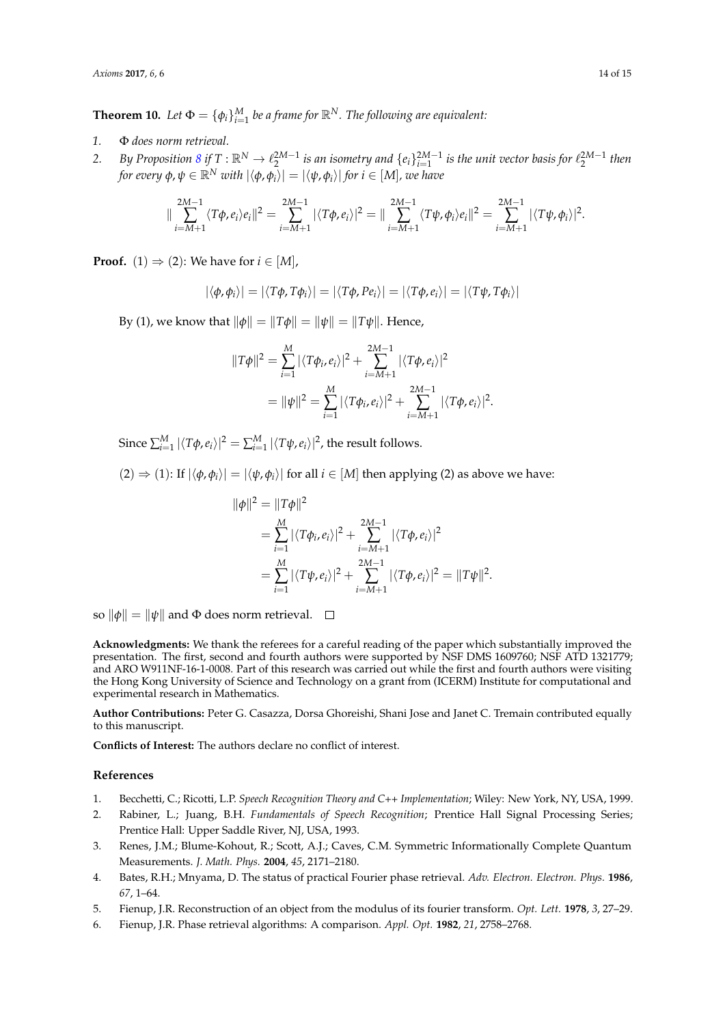**Theorem 10.** Let  $\Phi = \{\phi_i\}_{i=1}^M$  be a frame for  $\mathbb{R}^N$ . The following are equivalent:

- *1.* Φ *does norm retrieval.*
- 2. *By Proposition [8](#page-12-0) if*  $T:\mathbb{R}^N\to\ell_2^{2M-1}$  *is an isometry and*  $\{\ell_i\}_{i=1}^{2M-1}$  *is the unit vector basis for*  $\ell_2^{2M-1}$  *then for every*  $\phi$ *,*  $\psi \in \mathbb{R}^N$  *with*  $|\langle \phi, \phi_i \rangle| = |\langle \psi, \phi_i \rangle|$  *for*  $i \in [M]$ *, we have*

$$
\|\sum_{i=M+1}^{2M-1}\langle T\phi,e_i\rangle e_i\|^2=\sum_{i=M+1}^{2M-1}|\langle T\phi,e_i\rangle|^2=\|\sum_{i=M+1}^{2M-1}\langle T\psi,\phi_i\rangle e_i\|^2=\sum_{i=M+1}^{2M-1}|\langle T\psi,\phi_i\rangle|^2.
$$

**Proof.** (1)  $\Rightarrow$  (2): We have for  $i \in [M]$ ,

$$
|\langle \phi, \phi_i \rangle| = |\langle T\phi, T\phi_i \rangle| = |\langle T\phi, Pe_i \rangle| = |\langle T\phi, e_i \rangle| = |\langle T\psi, T\phi_i \rangle|
$$

*By* (1), we know that  $\|\phi\| = \|T\phi\| = \|\psi\| = \|T\psi\|$ . Hence,

$$
||T\phi||^2 = \sum_{i=1}^M |\langle T\phi_i, e_i \rangle|^2 + \sum_{i=M+1}^{2M-1} |\langle T\phi, e_i \rangle|^2
$$
  
= 
$$
||\psi||^2 = \sum_{i=1}^M |\langle T\phi_i, e_i \rangle|^2 + \sum_{i=M+1}^{2M-1} |\langle T\phi, e_i \rangle|^2.
$$

Since  $\sum_{i=1}^{M} |\langle T\phi, e_i \rangle|^2 = \sum_{i=1}^{M} |\langle T\psi, e_i \rangle|^2$ , the result follows.

 $(2) \Rightarrow (1)$ : If  $|\langle \phi, \phi_i \rangle| = |\langle \psi, \phi_i \rangle|$  for all  $i \in [M]$  then applying (2) as above we have:

$$
\begin{aligned} \|\phi\|^2 &= \|T\phi\|^2 \\ &= \sum_{i=1}^M |\langle T\phi_i, e_i \rangle|^2 + \sum_{i=M+1}^{2M-1} |\langle T\phi, e_i \rangle|^2 \\ &= \sum_{i=1}^M |\langle T\psi, e_i \rangle|^2 + \sum_{i=M+1}^{2M-1} |\langle T\phi, e_i \rangle|^2 = \|T\psi\|^2. \end{aligned}
$$

so  $\|\phi\| = \|\psi\|$  and  $\Phi$  does norm retrieval.  $\Box$ 

**Acknowledgments:** We thank the referees for a careful reading of the paper which substantially improved the presentation. The first, second and fourth authors were supported by NSF DMS 1609760; NSF ATD 1321779; and ARO W911NF-16-1-0008. Part of this research was carried out while the first and fourth authors were visiting the Hong Kong University of Science and Technology on a grant from (ICERM) Institute for computational and experimental research in Mathematics.

**Author Contributions:** Peter G. Casazza, Dorsa Ghoreishi, Shani Jose and Janet C. Tremain contributed equally to this manuscript.

**Conflicts of Interest:** The authors declare no conflict of interest.

## **References**

- <span id="page-13-0"></span>1. Becchetti, C.; Ricotti, L.P. *Speech Recognition Theory and C++ Implementation*; Wiley: New York, NY, USA, 1999.
- 2. Rabiner, L.; Juang, B.H. *Fundamentals of Speech Recognition*; Prentice Hall Signal Processing Series; Prentice Hall: Upper Saddle River, NJ, USA, 1993.
- <span id="page-13-1"></span>3. Renes, J.M.; Blume-Kohout, R.; Scott, A.J.; Caves, C.M. Symmetric Informationally Complete Quantum Measurements. *J. Math. Phys.* **2004**, *45*, 2171–2180.
- <span id="page-13-2"></span>4. Bates, R.H.; Mnyama, D. The status of practical Fourier phase retrieval. *Adv. Electron. Electron. Phys.* **1986**, *67*, 1–64.
- 5. Fienup, J.R. Reconstruction of an object from the modulus of its fourier transform. *Opt. Lett.* **1978**, *3*, 27–29.
- <span id="page-13-3"></span>6. Fienup, J.R. Phase retrieval algorithms: A comparison. *Appl. Opt.* **1982**, *21*, 2758–2768.